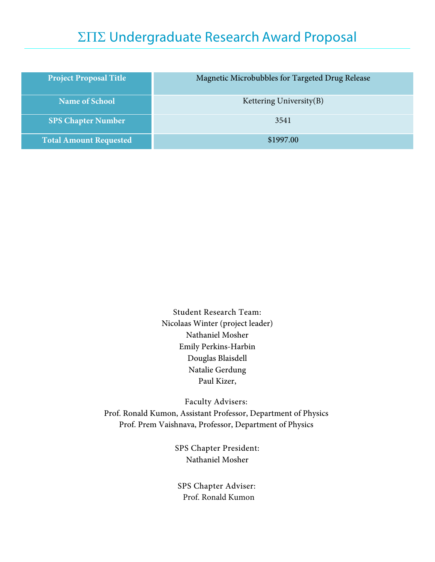# ΣΠΣ Undergraduate Research Award Proposal

| <b>Project Proposal Title</b> | Magnetic Microbubbles for Targeted Drug Release |
|-------------------------------|-------------------------------------------------|
| <b>Name of School</b>         | Kettering University $(B)$                      |
| <b>SPS Chapter Number</b>     | 3541                                            |
| <b>Total Amount Requested</b> | \$1997.00                                       |

Student Research Team: Nicolaas Winter (project leader) Nathaniel Mosher Emily Perkins-Harbin Douglas Blaisdell Natalie Gerdung Paul Kizer,

Faculty Advisers: Prof. Ronald Kumon, Assistant Professor, Department of Physics Prof. Prem Vaishnava, Professor, Department of Physics

> SPS Chapter President: Nathaniel Mosher

SPS Chapter Adviser: Prof. Ronald Kumon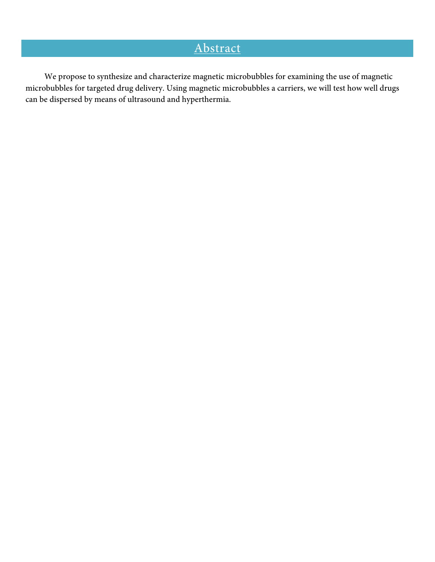# Abstract

We propose to synthesize and characterize magnetic microbubbles for examining the use of magnetic microbubbles for targeted drug delivery. Using magnetic microbubbles a carriers, we will test how well drugs can be dispersed by means of ultrasound and hyperthermia.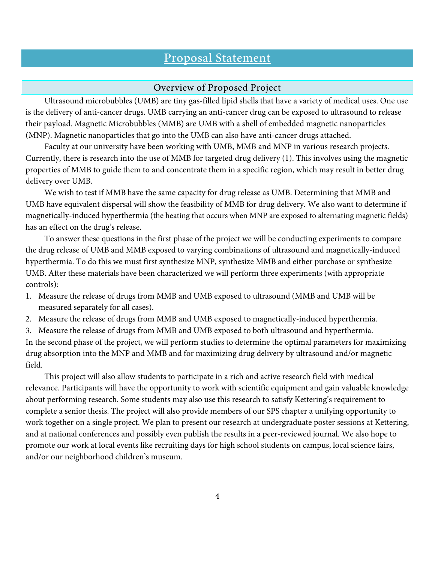## Proposal Statement

#### Overview of Proposed Project

Ultrasound microbubbles (UMB) are tiny gas-filled lipid shells that have a variety of medical uses. One use is the delivery of anti-cancer drugs. UMB carrying an anti-cancer drug can be exposed to ultrasound to release their payload. Magnetic Microbubbles (MMB) are UMB with a shell of embedded magnetic nanoparticles (MNP). Magnetic nanoparticles that go into the UMB can also have anti-cancer drugs attached.

Faculty at our university have been working with UMB, MMB and MNP in various research projects. Currently, there is research into the use of MMB for targeted drug delivery (1). This involves using the magnetic properties of MMB to guide them to and concentrate them in a specific region, which may result in better drug delivery over UMB.

We wish to test if MMB have the same capacity for drug release as UMB. Determining that MMB and UMB have equivalent dispersal will show the feasibility of MMB for drug delivery. We also want to determine if magnetically-induced hyperthermia (the heating that occurs when MNP are exposed to alternating magnetic fields) has an effect on the drug's release.

To answer these questions in the first phase of the project we will be conducting experiments to compare the drug release of UMB and MMB exposed to varying combinations of ultrasound and magnetically-induced hyperthermia. To do this we must first synthesize MNP, synthesize MMB and either purchase or synthesize UMB. After these materials have been characterized we will perform three experiments (with appropriate controls):

- 1. Measure the release of drugs from MMB and UMB exposed to ultrasound (MMB and UMB will be measured separately for all cases).
- 2. Measure the release of drugs from MMB and UMB exposed to magnetically-induced hyperthermia.
- 3. Measure the release of drugs from MMB and UMB exposed to both ultrasound and hyperthermia.

In the second phase of the project, we will perform studies to determine the optimal parameters for maximizing drug absorption into the MNP and MMB and for maximizing drug delivery by ultrasound and/or magnetic field.

This project will also allow students to participate in a rich and active research field with medical relevance. Participants will have the opportunity to work with scientific equipment and gain valuable knowledge about performing research. Some students may also use this research to satisfy Kettering's requirement to complete a senior thesis. The project will also provide members of our SPS chapter a unifying opportunity to work together on a single project. We plan to present our research at undergraduate poster sessions at Kettering, and at national conferences and possibly even publish the results in a peer-reviewed journal. We also hope to promote our work at local events like recruiting days for high school students on campus, local science fairs, and/or our neighborhood children's museum.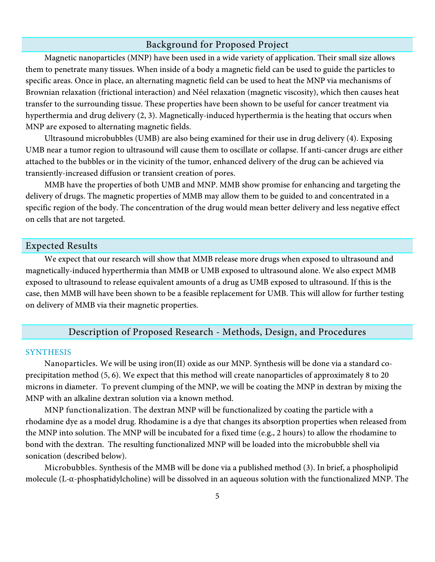#### Background for Proposed Project

Magnetic nanoparticles (MNP) have been used in a wide variety of application. Their small size allows them to penetrate many tissues. When inside of a body a magnetic field can be used to guide the particles to specific areas. Once in place, an alternating magnetic field can be used to heat the MNP via mechanisms of Brownian relaxation (frictional interaction) and Néel relaxation (magnetic viscosity), which then causes heat transfer to the surrounding tissue. These properties have been shown to be useful for cancer treatment via hyperthermia and drug delivery (2, 3). Magnetically-induced hyperthermia is the heating that occurs when MNP are exposed to alternating magnetic fields.

Ultrasound microbubbles (UMB) are also being examined for their use in drug delivery (4). Exposing UMB near a tumor region to ultrasound will cause them to oscillate or collapse. If anti-cancer drugs are either attached to the bubbles or in the vicinity of the tumor, enhanced delivery of the drug can be achieved via transiently-increased diffusion or transient creation of pores.

MMB have the properties of both UMB and MNP. MMB show promise for enhancing and targeting the delivery of drugs. The magnetic properties of MMB may allow them to be guided to and concentrated in a specific region of the body. The concentration of the drug would mean better delivery and less negative effect on cells that are not targeted.

#### Expected Results

We expect that our research will show that MMB release more drugs when exposed to ultrasound and magnetically-induced hyperthermia than MMB or UMB exposed to ultrasound alone. We also expect MMB exposed to ultrasound to release equivalent amounts of a drug as UMB exposed to ultrasound. If this is the case, then MMB will have been shown to be a feasible replacement for UMB. This will allow for further testing on delivery of MMB via their magnetic properties.

### Description of Proposed Research - Methods, Design, and Procedures

#### SYNTHESIS

Nanoparticles. We will be using iron(II) oxide as our MNP. Synthesis will be done via a standard coprecipitation method (5, 6). We expect that this method will create nanoparticles of approximately 8 to 20 microns in diameter. To prevent clumping of the MNP, we will be coating the MNP in dextran by mixing the MNP with an alkaline dextran solution via a known method.

MNP functionalization. The dextran MNP will be functionalized by coating the particle with a rhodamine dye as a model drug. Rhodamine is a dye that changes its absorption properties when released from the MNP into solution. The MNP will be incubated for a fixed time (e.g., 2 hours) to allow the rhodamine to bond with the dextran. The resulting functionalized MNP will be loaded into the microbubble shell via sonication (described below).

Microbubbles. Synthesis of the MMB will be done via a published method (3). In brief, a phospholipid molecule (L-α-phosphatidylcholine) will be dissolved in an aqueous solution with the functionalized MNP. The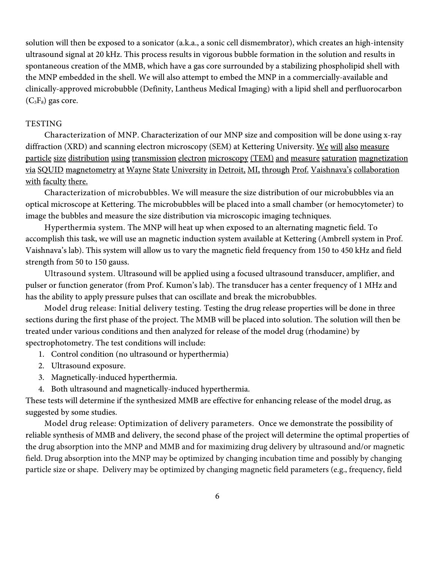solution will then be exposed to a sonicator (a.k.a., a sonic cell dismembrator), which creates an high-intensity ultrasound signal at 20 kHz. This process results in vigorous bubble formation in the solution and results in spontaneous creation of the MMB, which have a gas core surrounded by a stabilizing phospholipid shell with the MNP embedded in the shell. We will also attempt to embed the MNP in a commercially-available and clinically-approved microbubble (Definity, Lantheus Medical Imaging) with a lipid shell and perfluorocarbon  $(C_3F_8)$  gas core.

#### **TESTING**

Characterization of MNP. Characterization of our MNP size and composition will be done using x-ray diffraction (XRD) and scanning electron microscopy (SEM) at Kettering University. We will also measure particle size distribution using transmission electron microscopy (TEM) and measure saturation magnetization via SQUID magnetometry at Wayne State University in Detroit, MI, through Prof. Vaishnava's collaboration with faculty there.

Characterization of microbubbles. We will measure the size distribution of our microbubbles via an optical microscope at Kettering. The microbubbles will be placed into a small chamber (or hemocytometer) to image the bubbles and measure the size distribution via microscopic imaging techniques.

Hyperthermia system. The MNP will heat up when exposed to an alternating magnetic field. To accomplish this task, we will use an magnetic induction system available at Kettering (Ambrell system in Prof. Vaishnava's lab). This system will allow us to vary the magnetic field frequency from 150 to 450 kHz and field strength from 50 to 150 gauss.

Ultrasound system. Ultrasound will be applied using a focused ultrasound transducer, amplifier, and pulser or function generator (from Prof. Kumon's lab). The transducer has a center frequency of 1 MHz and has the ability to apply pressure pulses that can oscillate and break the microbubbles.

Model drug release: Initial delivery testing. Testing the drug release properties will be done in three sections during the first phase of the project. The MMB will be placed into solution. The solution will then be treated under various conditions and then analyzed for release of the model drug (rhodamine) by spectrophotometry. The test conditions will include:

- 1. Control condition (no ultrasound or hyperthermia)
- 2. Ultrasound exposure.
- 3. Magnetically-induced hyperthermia.
- 4. Both ultrasound and magnetically-induced hyperthermia.

These tests will determine if the synthesized MMB are effective for enhancing release of the model drug, as suggested by some studies.

Model drug release: Optimization of delivery parameters. Once we demonstrate the possibility of reliable synthesis of MMB and delivery, the second phase of the project will determine the optimal properties of the drug absorption into the MNP and MMB and for maximizing drug delivery by ultrasound and/or magnetic field. Drug absorption into the MNP may be optimized by changing incubation time and possibly by changing particle size or shape. Delivery may be optimized by changing magnetic field parameters (e.g., frequency, field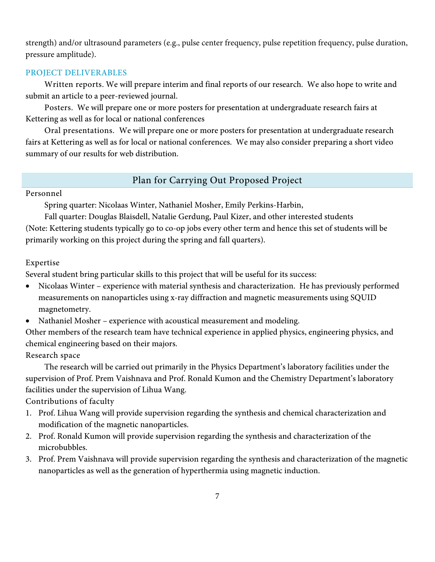strength) and/or ultrasound parameters (e.g., pulse center frequency, pulse repetition frequency, pulse duration, pressure amplitude).

#### PROJECT DELIVERABLES

Written reports. We will prepare interim and final reports of our research. We also hope to write and submit an article to a peer-reviewed journal.

Posters. We will prepare one or more posters for presentation at undergraduate research fairs at Kettering as well as for local or national conferences

Oral presentations. We will prepare one or more posters for presentation at undergraduate research fairs at Kettering as well as for local or national conferences. We may also consider preparing a short video summary of our results for web distribution.

### Plan for Carrying Out Proposed Project

#### Personnel

Spring quarter: Nicolaas Winter, Nathaniel Mosher, Emily Perkins-Harbin,

Fall quarter: Douglas Blaisdell, Natalie Gerdung, Paul Kizer, and other interested students (Note: Kettering students typically go to co-op jobs every other term and hence this set of students will be primarily working on this project during the spring and fall quarters).

### Expertise

Several student bring particular skills to this project that will be useful for its success:

- Nicolaas Winter experience with material synthesis and characterization. He has previously performed measurements on nanoparticles using x-ray diffraction and magnetic measurements using SQUID magnetometry.
- Nathaniel Mosher experience with acoustical measurement and modeling.

Other members of the research team have technical experience in applied physics, engineering physics, and chemical engineering based on their majors.

Research space

The research will be carried out primarily in the Physics Department's laboratory facilities under the supervision of Prof. Prem Vaishnava and Prof. Ronald Kumon and the Chemistry Department's laboratory facilities under the supervision of Lihua Wang.

Contributions of faculty

- 1. Prof. Lihua Wang will provide supervision regarding the synthesis and chemical characterization and modification of the magnetic nanoparticles.
- 2. Prof. Ronald Kumon will provide supervision regarding the synthesis and characterization of the microbubbles.
- 3. Prof. Prem Vaishnava will provide supervision regarding the synthesis and characterization of the magnetic nanoparticles as well as the generation of hyperthermia using magnetic induction.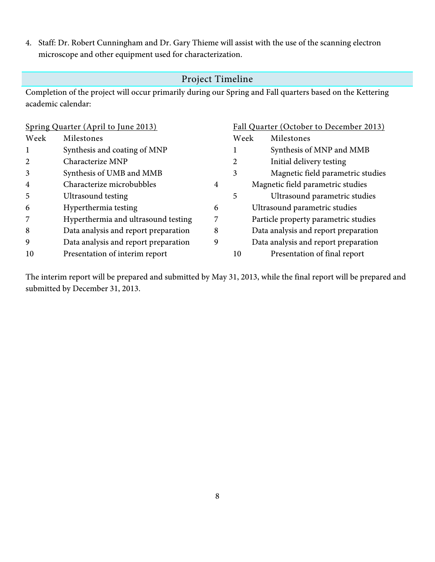4. Staff: Dr. Robert Cunningham and Dr. Gary Thieme will assist with the use of the scanning electron microscope and other equipment used for characterization.

### Project Timeline

Completion of the project will occur primarily during our Spring and Fall quarters based on the Kettering academic calendar:

| Spring Quarter (April to June 2013) |                                      |   | Fall Quarter (October to December 2013) |                                      |
|-------------------------------------|--------------------------------------|---|-----------------------------------------|--------------------------------------|
| Week                                | Milestones                           |   | Week                                    | Milestones                           |
| 1                                   | Synthesis and coating of MNP         |   |                                         | Synthesis of MNP and MMB             |
| 2                                   | Characterize MNP                     |   | 2                                       | Initial delivery testing             |
| 3                                   | Synthesis of UMB and MMB             |   | 3                                       | Magnetic field parametric studies    |
| $\overline{4}$                      | Characterize microbubbles            | 4 |                                         | Magnetic field parametric studies    |
| 5                                   | Ultrasound testing                   |   | 5                                       | Ultrasound parametric studies        |
| 6                                   | Hyperthermia testing                 | 6 |                                         | Ultrasound parametric studies        |
| 7                                   | Hyperthermia and ultrasound testing  |   |                                         | Particle property parametric studies |
| 8                                   | Data analysis and report preparation | 8 |                                         | Data analysis and report preparation |
| 9                                   | Data analysis and report preparation | 9 |                                         | Data analysis and report preparation |
| 10                                  | Presentation of interim report       |   | 10                                      | Presentation of final report         |

The interim report will be prepared and submitted by May 31, 2013, while the final report will be prepared and submitted by December 31, 2013.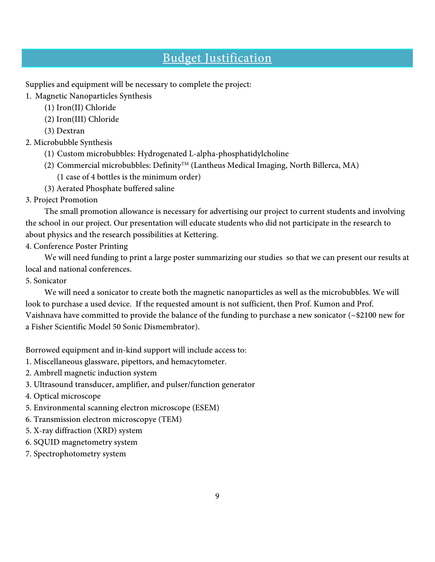## Budget Justification

Supplies and equipment will be necessary to complete the project:

1. Magnetic Nanoparticles Synthesis

- (1) Iron(II) Chloride
- (2) Iron(III) Chloride
- (3) Dextran

### 2. Microbubble Synthesis

- (1) Custom microbubbles: Hydrogenated L-alpha-phosphatidylcholine
- (2) Commercial microbubbles: Definity<sup>TM</sup> (Lantheus Medical Imaging, North Billerca, MA) (1 case of 4 bottles is the minimum order)
- (3) Aerated Phosphate buffered saline
- 3. Project Promotion

The small promotion allowance is necessary for advertising our project to current students and involving the school in our project. Our presentation will educate students who did not participate in the research to about physics and the research possibilities at Kettering.

4. Conference Poster Printing

We will need funding to print a large poster summarizing our studies so that we can present our results at local and national conferences.

5. Sonicator

We will need a sonicator to create both the magnetic nanoparticles as well as the microbubbles. We will look to purchase a used device. If the requested amount is not sufficient, then Prof. Kumon and Prof. Vaishnava have committed to provide the balance of the funding to purchase a new sonicator (~\$2100 new for a Fisher Scientific Model 50 Sonic Dismembrator).

Borrowed equipment and in-kind support will include access to:

- 1. Miscellaneous glassware, pipettors, and hemacytometer.
- 2. Ambrell magnetic induction system
- 3. Ultrasound transducer, amplifier, and pulser/function generator
- 4. Optical microscope
- 5. Environmental scanning electron microscope (ESEM)
- 6. Transmission electron microscopye (TEM)
- 5. X-ray diffraction (XRD) system
- 6. SQUID magnetometry system
- 7. Spectrophotometry system